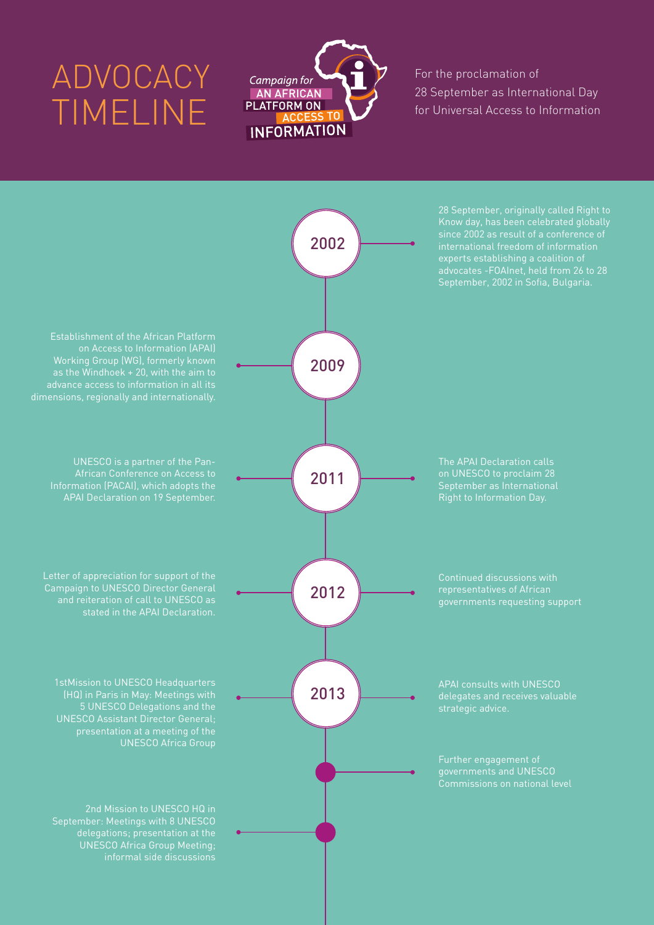## ADVOCACY TIMELINE



For the proclamation of 28 September as International Day for Universal Access to Information

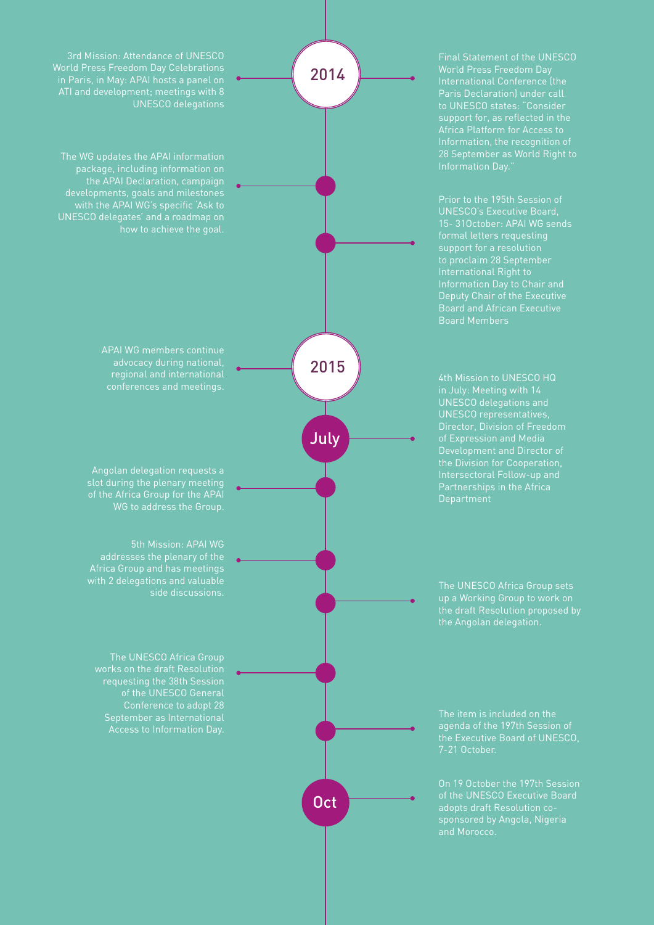Final Statement of the UNESCO 28 September as World Right to Information Day."

Prior to the 195th Session of UNESCO's Executive Board, support for a resolution Deputy Chair of the Executive Board and African Executive Board Members

Development and Director of Partnerships in the Africa

up a Working Group to work on the Angolan delegation.

agenda of the 197th Session of 7-21 October.

of the UNESCO Executive Board sponsored by Angola, Nigeria